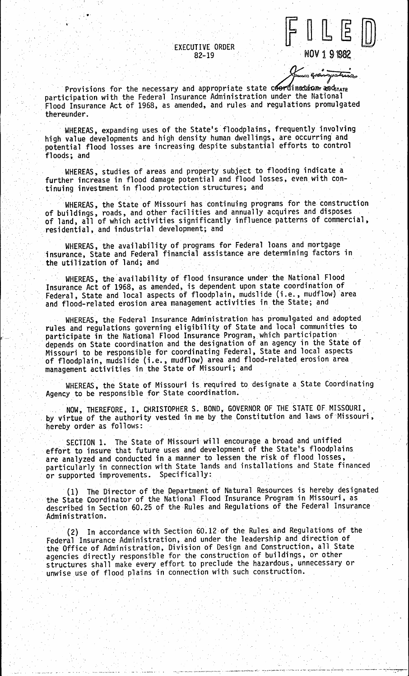EXECUTIVE ORDER 82-19

..

,.

 $\begin{array}{|c|c|c|c|c|}\hline \text{r} & \text{u} & \text{b} & \text{c} & \text{d} \end{array}$ . NOV 1 91982

Provisions for the necessary and appropriate state coordination and appropriate state<br>participation with the Federal Insurance Administration under the National Flood Insurance Act of 1968, as amended, and rules and regulations promulgated thereunder .

WHEREAS, expanding uses of the State's floodplains, frequently involving high value developments and high density human dwellings, are occurring and potential flood losses are increasing despite substantial efforts to control thereunder.<br>WHEREAS, expanding uses of the State's floodplains, frequency<br>high value developments and high density human dwellings, are<br>potential flood losses are increasing despite substantial effo<br>floods; and<br>within a fl

WHEREAS, studies of areas and property subject to flooding indicate a further increase in flood damage potential and flood losses, even with con-<br>tinuing investment in flood protection structures; and

WHEREAS, the State of Missouri has continuing programs for the construction of buildings, roads, and other facilities and annually acquires and disposes of land, all of which activities significantly influence patterns of commercial, residential, and industrial development; and

WHEREAS, the availability of programs for Federal loans and mortgage insurance, State and Federal financial assistance are determining factors in the utilization of land; and

WHEREAS, the'avai1abi1ity of flood insurance under the National Flood Insurance Act of 1968, as amended, is dependent upon state coordination of Federal, State and local aspects of floodplain, muds1ide (i.e., mudflow) area and flood-related erosion area management activities in the State; and

WHEREAS, the Federal Insurance Administration has promulgated and adopted rules and regulations governing eligibility of State and local communities to participate in the National Flood Insurance Program, which participation<br>depends on State coordination and the designation of an agency in the State of<br>Missouri to be responsible for coordinating Federal, State and local a Missouri to be responsible for coordinating Federal, State and local aspects<br>of floodplain, mudslide (i.e., mudflow) area and flood-related erosion area management activities in the State of Missouri; and . .

WHEREAS, the State of Missouri is required to designate a State Coordinating Agency to be responsible for State coordination.

NOW, THEREFORE, I, CHRISTOPHER S. BOND, GOVERNOR OF THE STATE OF. MISSOURI, by virtue of the authority vested in me by the Constitution and laws of Missouri, hereby order as follows:

SECTION 1. The State of Missouri will encourage a broad and unified effort to insure that future uses and development of the State's floodplains are analyzed and conducted in a manner to lessen the risk of flood losses, particularly in connection with State lands and installations and State financed or supported improvements. Specifically:

(1) The Director of the Department of Natural Resources is hereby designated the State Coordinator of the National Flood Insurance Program in Missouri, as described in Section 60.25 of the Rules and Regulations of the Federal Insurance· Administration. .

(2) In accordance with Section 60.12 of the Rules and Regulations of the Federal Insurance Administration, and under the leadership and direction of the Office of Administration, Division of Design and Construction, all State agencies directly responsible for the construction of buildings, or other structures shall make every effort to preclude the hazardous, unnecessary or unwise use of flood plains in connection with such construction.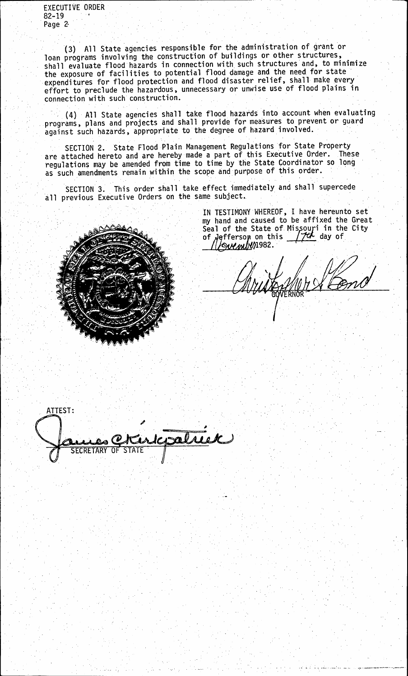EXECUTIVE ORDER  $82 - 19$ Page 2

(3) All State agencies responsible for the administration of grant or loan programs involving the construction of buildings or other structures, shall evaluate flood hazards in connection with such structures and, to minimize the exposure of facilities to potential flood damage and the need for state expenditures for flood protection and flood disaster relief, shall make every effort to preclude the hazardous, unnecessary or unwise use of flood plains in connection with such construction.

(4) All State agencies shall take flood hazards into account when evaluating programs, plans and projects and shall provide for measures to prevent or guard<br>against such hazards, appropriate to the degree of hazard involved.

SECTION 2. State Flood Plain Management Regulations for State Property are attached hereto and are hereby made a part of this Executive Order. These regulations may be amended from time to time by the State Coordinator so long<br>as such amendments remain within the scope and purpose of this order.

This order shall take effect immediately and shall supercede SECTION 3. all previous Executive Orders on the same subject.



IN TESTIMONY WHEREOF, I have hereunto set<br>my hand and caused to be affixed the Great<br>Seal of the State of Missouri in the City<br>of Jefferson on this (7th day of of defferson on this \_ Lovember 1982.

FRNMA

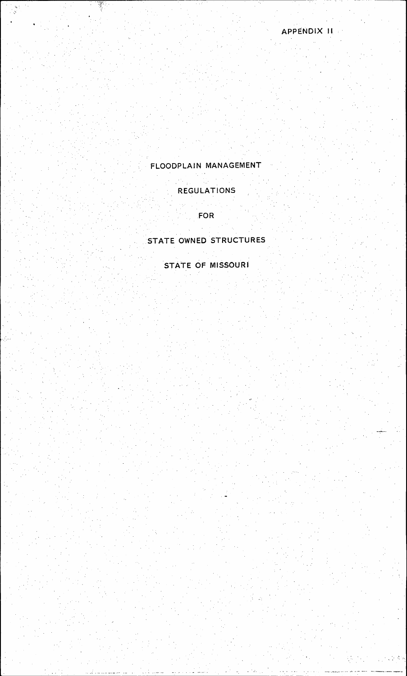APPENDIX II

 $\frac{1}{2} \left( \frac{1}{2} \right) \left( \frac{1}{2} \right) \left( \frac{1}{2} \right) \left( \frac{1}{2} \right)$ 

V

# FLOODPLAIN MANAGEMENT

# **REGULATIONS**

FOR

# STATE OWNED STRUCTURES

STATE OF MISSOURI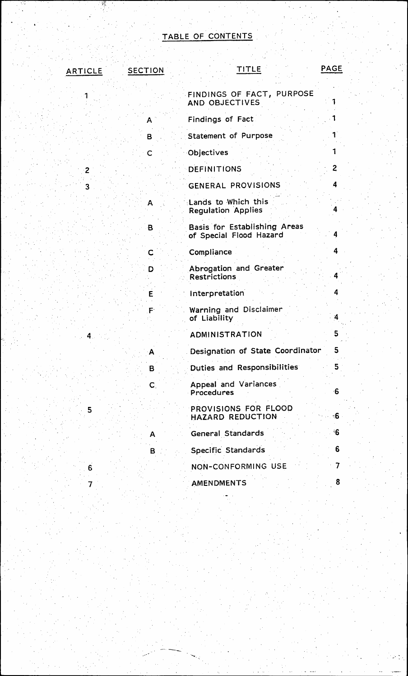# TABLE OF CONTENTS

| ARTICLE | <b>SECTION</b> | TITLE                                                   | <b>PAGE</b>  |
|---------|----------------|---------------------------------------------------------|--------------|
|         |                |                                                         |              |
|         |                | FINDINGS OF FACT, PURPOSE<br>AND OBJECTIVES             |              |
|         | Α              | Findings of Fact                                        |              |
|         | В              | Statement of Purpose                                    |              |
|         | C              | Objectives                                              |              |
| 2       |                | <b>DEFINITIONS</b>                                      | $\mathbf{2}$ |
| 3       |                | <b>GENERAL PROVISIONS</b>                               | 4            |
|         | A              | Lands to Which this<br><b>Regulation Applies</b>        |              |
|         | B              | Basis for Establishing Areas<br>of Special Flood Hazard |              |
|         | C              | Compliance                                              | 4            |
|         | D              | Abrogation and Greater<br><b>Restrictions</b>           | 4            |
|         | E              | <b>Interpretation</b>                                   | 4            |
|         | $F^1$          | Warning and Disclaimer<br>of Liability                  |              |
|         |                | ADMINISTRATION                                          | 5            |
|         | A              | Designation of State Coordinator                        | 5            |
|         | B              | Duties and Responsibilities                             | 5            |
|         | $\mathbf{C}$   | Appeal and Variances<br>Procedures                      | ∙6           |
| 5       |                | PROVISIONS FOR FLOOD<br>HAZARD REDUCTION                | -6           |
|         |                | General Standards                                       | -6           |
|         | в              | Specific Standards                                      | 6            |
| 6       |                | NON-CONFORMING USE                                      |              |
|         |                | <b>AMENDMENTS</b>                                       | 8            |
|         |                |                                                         |              |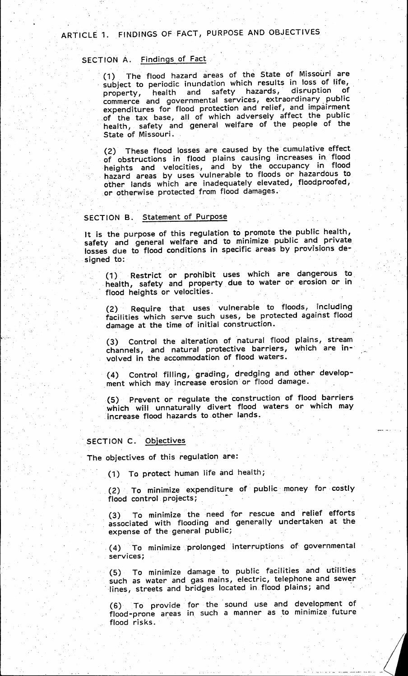# ARTICLE 1. FINDINGS OF FACT, PURPOSE AND OBJECTIVES

### SECTION A. Findings of Fact

. (1) The flood hazard areas of the State of Missouri are subject to periodic inundation which results in loss of life,<br>property, health and safety hazards, disruption of property, health and safety hazards, disruption of commerce and governmental services, extraordinary public expenditures for flood protection and relief, and impairment of the tax base, all of which adversely affect the public health, safety and general welfare of the people of the State of Missouri.

(2) These flood losses are caused by the cumulative effect of obstructions in flood plains causing increases in flood heights and velocities, and by the occupancy in flood hazard areas by uses vulnerable to floods or hazardous to other lands which are inadequately elevated, floodproofed, .or otherwise protected from flood damages.

# SECTION B. Statement of Purpose

It is the purpose of this regulation to promote the public health, safety and general welfare and to minimize public and private losses due to flood conditions in specific areas by provisions desianed to:

(1) . Restrict or prohibit uses which are dangerous to . health, safety and property. due to water or erosion or in flood heights or velocities.

(2) Require that uses vulnerable to floods, including facilities which serve such uses, be protected against flood damage at the time of initial construction. .

(3) Control the alteration of natural flood plains, stream channels, and natural protective barriers, which are involved in the accommodation of flood waters.

(4) Control filling, grading, dredging and other development which may increase erosion or flood damage.

(5) Prevent or regulate the construction of flood barriers which will unnaturally divert flood waters or which may increase flood hazards to other lands.

#### SECTION C. Objectives

The objectives of this regulation are:

(1) To protect human life and health;

(2) To minimize expenditure of public money for costly flood control projects;

(3) To minimize the need for rescue and· relief efforts associated with flooding and generally undertaken at the expense of the general public;

. (4) To minimize .prolonged interruptions of governmental services;

(5) To minimize damage to public facilities and utilities such as water and gas mains, electric, telephone and sewer<br>lines, streets and bridges located in flood plains; and

(6) To provide· for the sound use and development of flood-prone areas in such a manner as to minimize future flood risks.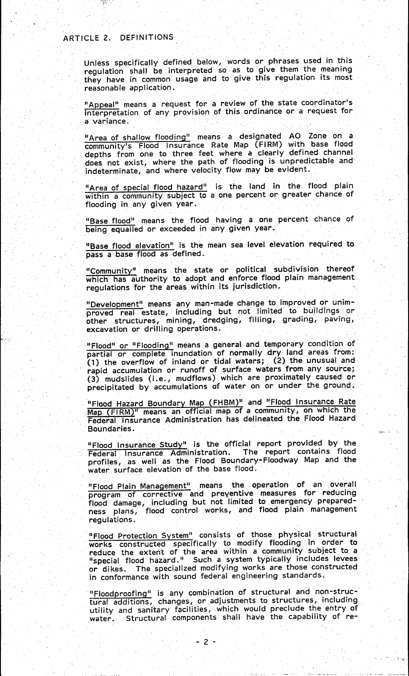Unless specifically defined below, words or phrases used in this regulation shall be interpreted so as to give them the meaning they have in common usage and to give. this regulation its most reasonable application.

"Appeal" means a request for a review of the state coordinator's interpretation of any provision of this ordinance or a request for a variance.

"Area of shallow flooding" means a designated AO Zone on a community's Flood Insurance Rate Map (FIRM) with base flood 'depths from one to three feet where a clearly defined channel does not exist, where the path of flooding· is unpredictable and' indeterminate, and where velocity flow may be evident.

"Area of special flood hazard" is the land in the flood plain within a community subject to a one percent or greater chance of flooding in any given year.

"Base flood" means the flood having a one percent chance of being equalled or exceeded in any given year.

"Base flood elevation" is the mean sea level elevation required to pass a base flood as defined.

,"Community" means the state or political subdivision thereof which has authority to adopt and enforce flood plain management regulations for the areas within its jurisdiction. '

"Development" means' any man-made change to improved or unim- , -proved real estate, including but not limited to buildings or other structures, mining, dredging, filling, grading, paving,' excavation or drilling operations.

"Flood" or "Flooding" means a general and temporary condition of partial or complete inundation of normally dry land areas from: (1) the overflow of inland or tidal waters; (2) the unusual and rapid accumulation or runoff of surface waters from any source; (3) mudslides (i .e., mudflows) which are proximately caused or precipitated by accumulations of water on or under the ground.

"Flood Hazard Boundary Map (FHBM)" and "Flood Insurance Rate Map (FIRM)" means an official map of a community, on which the Federal Insurance Administration has delineated the Flood Hazard . Boundaries.

"Flood Insurance Study" is the official report provided by the Federal, Insurance Administration. The report contains flood profiles, as well as the Flood Boundary-Floodway Map and the water surface elevation of the base flood.

"Flood Plain Management" means the operation of an overall program of corrective and preyentive measures for reducing flood damage, including but not limited to emergency preparedness plans, flood control works, and flood plain management regulations.

"Flood Protection System" consists of those physical structural works constructed ,specifically to modify flooding in order to reduce the extent of the area within a community subject to a "special flood hazard." Such a system typically includes levees or dikes. The specialized modifying works are those constructed in conformance with sound federal engineering standards.

"Floodproofing" is any combination of structural and non-structural additions, changes, or adjustments to structures, including, utility and sanitary facilities, which would preclude the entry of water. Structural components shall have the capability of re-

 $\sim$   $+$   $\sim$ 

 $-2-$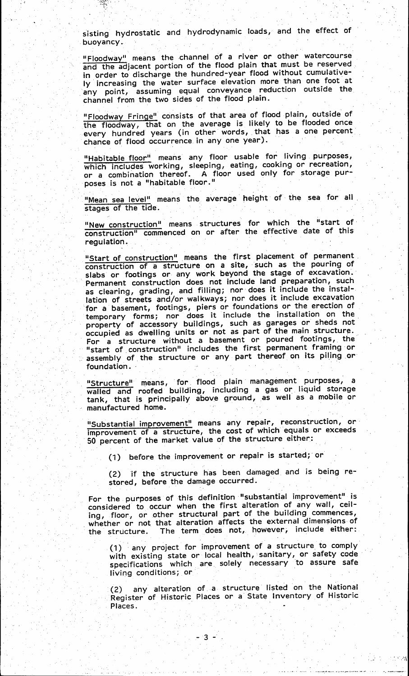sisting hydrostatic and hydrodynamic loads, and the effect of . buoyancy.

. ' ..

"Floodway" means the channel of a river or other watercourse and the adjacent portion of the flood plain that must be reserved. in order to discharge the hundred-year flood without cumulatively increasing the water surface elevation more than one foot at any point, assuming equal conveyance reduction outside the. channel from the two sides of the flood plain.

"Floodway Fringe" consists of that area of flood plain, outside of the floodway, that on the average is likely to be flooded once every hundred years (in other words, that has a one percent chance of flood occurrence in any one year).

"Habitable floor'i means any floor usable for living. purposes, which includes working, sleeping, eating, cooking or recreation, or a combination thereof. A floor used only for storage purposes is not a "habitable floor."

"Mean sea level" means the average height of the sea for all stages of the tide.

"New construction" means structures for which the "start of construction" commenced on or after the effective date of this regulation.

"Start of construction" means the first placement of permanent. construction of a structure on a site, such as the pouring of slabs or footings or any work beyond the stage of excavation. Permanent construction does not include land preparation, such as clearing, grading, and filling; nor does it include the installation of streets and/or walkways; nor does it include excavation for a basement, footings, piers or foundations or the erection of temporary forms; nor does it include the installation on the property of accessory buildings, such as garages or sheds not preparty as dwelling units or not as part of the main structure. For a structure without a basement or poured footings, the "start of. construction" includes the first permanent framing· or assembly of the structure or any part thereof on its piling or foundation ..

"Structure" means, for flood plain management purposes, a walled and roofed building, including a gas or liquid storage tank, that is principally above ground, as well as a mobile or manufactured home.

"Substantial improvement" means any repair, reconstruction, or' improvement of a structure, the cost of which equals or exceeds 50 percent of the market value of the structure either:

(1) before the improvement or repair is started; or

(2) if the structure has been damaged and is being restored, before the damage occurred.

For the purposes of this definition "substantial improvement" is considered to occur when the first alteration of any wall, ceiling, floor, or other structural part of the building commences, whether or not that alteration affects the external dimensions of the structure. The term does not, however, include either:

(1) any project for improvement of a structure to comply with existing state or local health, sanitary, or safety code men entering which are solely necessary to assure safe living conditions; or

(2) any alteration of a structure listed on the National (2) any alteration of a structure listed on the National<br>Register of Historic Places or a State Inventory of Historic Places.

........ ~-.... ~ "'-'~-~"'~-'-.' .. "", .,,-.... ~-...

11 M

- 3 -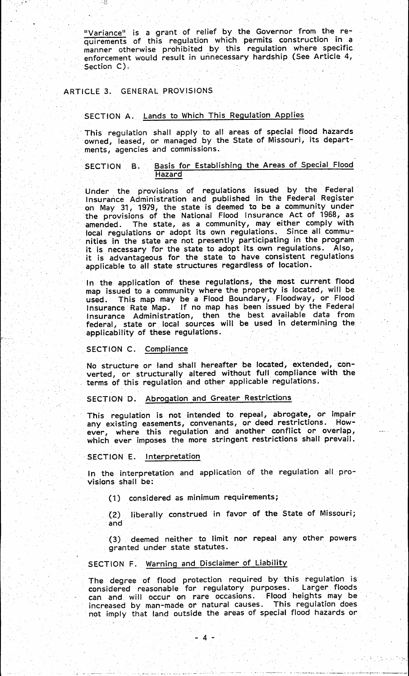$\frac{W\{Variance\}}{quirements}$  is a grant of relief by the Governor from the re-<br>quirements of this regulation which permits construction in a  $m$ anner otherwise prohibited by this regulation where specific. enforcement would result in unnecessary hardship (See Article 4, Section C).

# ARTICLE 3. GENERAL PROVISIONS

... , ,~. t· '

r:·,· ,

#### SECTION A. Lands to Which This Regulation Applies

This regulation shall apply to all areas of special flood hazards owned, leased, or managed by the State of Missouri, its departments, agencies and commissions.

#### SECTION B. Basis for Establishing the Areas of Special Flood Hazard

Under the provisions of regulations issued by the Federal Insurance Administration and published in the Federal Register on May 31, 1979, the state is deemed to be a community under the provisions of the National Flood Insurance Act of 1968, as amended. The state, as a community, may either comply with local regulations or adopt its own regulations. Since all communities in the state are not presently participating in the program it is necessary for the state to adopt its own regulations. Also, it is advantageous for the state to have consistent regulations · applicable to all state structures regardless of location.

In the application of these regulations, the most current flood map issued to a community where the property is located, will be used. This map may be a Flood Boundary, Floodway, or Flood Insurance· Rate Map. If no map has been issued by the Federal Insurance Administration, then the best available data from federal, state or local sources will be used in determining the applicability of these regulations.

#### SECTION C. Compliance

No structure or land shall hereafter be located, extended, converted, or structurally altered without full compliance with the · terms of this regulation and other applicable regulations.

#### SECTION D. Abrogation and Greater Restrictions

This regulation is not intended to repeal, abrogate, or impair any existing easements, convenants, or deed restrictions. However, where this regulation and another conflict or overlap, which ever imposes the more stringent restrictions shall prevail.

#### SECTION E. Interpretation

In the interpretation and application of. the regulation all· provisions shall be:

(1) considered as minimum requirements;

(2) liberally construed in favor of the State of Missouri; and

(3) deemed neither to limit nor repeal any other powers . granted under state statutes. .

# SECTION F. Warning and Disclaimer of Liability

The degree of flood protection required by this regulation is<br>considered reasonable for regulatory purposes. Larger floods considered reasonable for regulatory purposes. can and will occur on rare occasions. Flood heights may be increased by man-made or natural causes. This regulation does not imply that land outside the areas of special flood hazards or

. .. -. '''-'-';--''-'~- • • '\_" *... \_\_ •* ..J~. *\_* \_ '''''''' ••• \_\_ .:..""" \_\_ ~ •• \, •• ~ -'~M'\_""'''''.'\_'~ •.. \_~\_''''-''-\_.''''''''''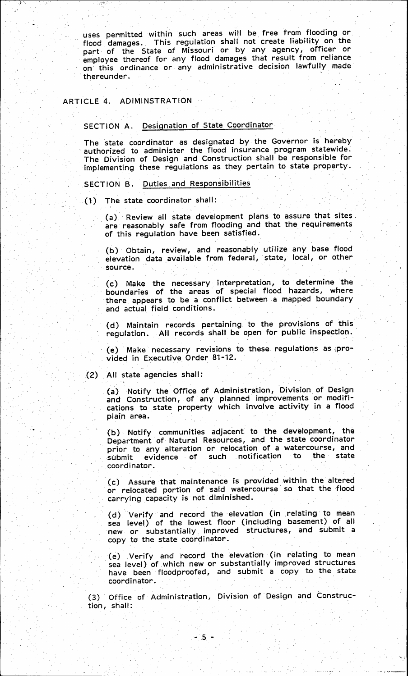uses permitted within such areas will be free from flooding or. flood damages.. This regulation shall not create liability on the part of the State of Missouri or by any agency, officer or employee thereof for any flood damages that result from reliance on' this ordinance or any administrative decision lawfully made' thereunder. . .

#### ARTICLE 4. ADIMINSTRATION

, i.e.  $\sim$ 

#### SECTION A. Designation of State Coordinator

The state coordinator as designated by the Governor is hereby authorized to administer the flood insurance program statewide.<br>The Division of Design and Construction shall be responsible for implementing these regulations as they pertain to state property.

#### SECTION B. Duties. and Responsibilities

. (1) The state coordinator shall:

(a) Review all state development plans to assure that sites are reasonably safe from flooding and that the requirements of this regulation have been satisfied. .

(b)' Obtain, review, and reasonably utilize any base flood elevation data available from federal, state, local, or other . source.

(c) Make the necessary interpretation, to determine the boundaries of the areas' of special flood hazards, where there appears to be a conflict between a mapped boundary and actual field conditions.

(d) Maintain records pertaining to the provisions of this regulation. All records shall be open for public inspection.

(e) Make necessary revisions to these regulations as {pro- . vided in Executive Order 81-12.

### (2) All state agencies shall:

(a) Notify the Office of Administration, Division of Design and Construction, of any planned improvements or modifications to state property which involve activity in a flood plain area.

(b)·· Notify communities adjacent to the development, the Department of· Natural Resources, and the state coordinator prior to any alteration or relocation of a watercourse, and<br>submit evidence of such notification to the state submit evidence of such notification coordinator.

(c) Assure that maintenance is provided within the altered<br>or relocated portion of said watercourse so that the flood carrying capacity is not diminished.

(d) Verify and record the elevation (in relating' to mean sea level) of the lowest floor (including basement) of all new or substantially. improved structures, and submit a copy to the state coordinator.

'(e) Verify and record the elevation (in relating to mean sea level) of which new or substantially improved structures have been floodproofed, and submit a copy to the state . coordinator ..

" i

(3) Office of Administration, Division of' Design and Construction, shall: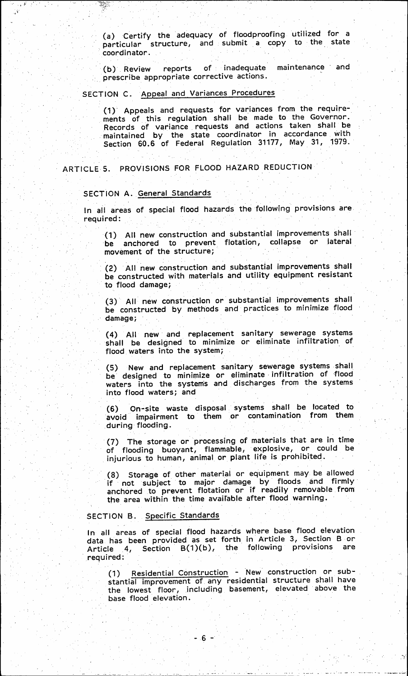(a) Certify the adequacy of floodproofing utilized for a harticular structure, and submit a copy to the state . coordinator.

(b) Review reports of inadequate maintenance and prescribe appropriate corrective actions.

#### SECTION C. Appeal and Variances Procedures

(1) Appeals and requests for variances from the requirements of this regulation shall be made to the Governor. Records of variance. requests and actions taken shall be maintained by the state coordinator in accordance with Section 60.6 of Federal Regulation 31177, May. 31, 1979.

ARTICLE S. PROVISIONS FOR FLOOD HAZARD REDUCTION

## SECTION A. General Standards

 $\cdot$   $\mathbb{R}^n$  :  $\ddot{\phantom{a}}$  .

 $\cdot$  .  $\cdot$   $\cdot$  $,^{\circ}$ 

> In all areas of special flood hazards the following provisions are required:

(1) All new construction and substantial improvements shall the anchored to prevent flotation, collapse or lateral movement of the structure; (1) All new construction and<br>be anchored to prevent<br>movement of the structure;<br>(2) All new construction and

(2) . All new construction and substantial improvements shall be constructed with materials and utility equipment resistant to flood damage;

(3) All new construction or substantial improvements shall be constructed by methods and practices to minimize flood damage;

(4) All new and replacement sanitary sewerage systems shall be designed to minimize or eliminate infiltration of flood waters into the system;

(5) New and replacement sanitary sewerage systems shall be designed to minimize or eliminate infiltration of flood waters into the systems and discharges from the systems flood waters into the system;<br>
(5) New and replacement sanitary sewerage :<br>
be designed to minimize or eliminate infiltrat<br>
waters into the systems and discharges from<br>
into flood waters; and<br>
(3)  $\sigma$  is using diagonal av

(6) On-site waste disposal systems shall be located to avoid impairment to them or contamination from them during flooding.

The storage or processing of materials that are in time of flooding buoyant, flammable, explosive, or could be . injurious to human, animal or plant life is prohibited .

. (8) Storage of other material or equipment may. be allowed if not subject to major damage by floods and firmly anchored to prevent flotation or if readily removable from the area within the time avairable after flood warning.

### SECTION B. Specific Standards

In all areas of special flood hazards where base flood elevation data has been provided as set forth in· Article 3, Section B or Article 4, Section B(1)(b), the following provisions are . required:

(1) Residential Construction - New construction or substantial improvement of any residential structure shall have the lowest floor, including basement, elevated above the base flood elevation.

... \_., .... -., ....... -~ .... ;-.

 $-6 -$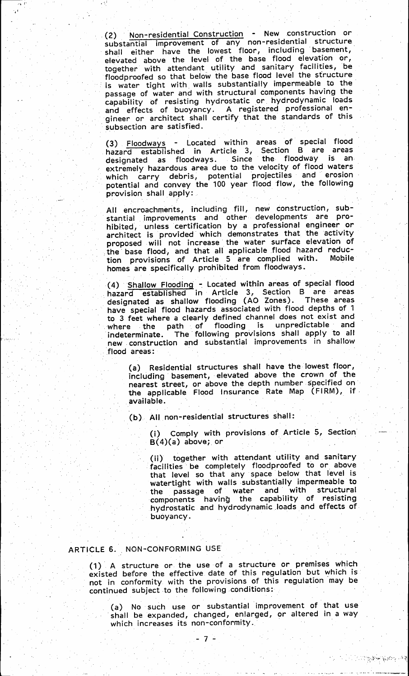(2) Non-residential Construction - New construction or substantial improvement of any non-residential structure shall either have the lowest floor, including basement, elevated above the level of the base flood elevation or, together with attendant utility and sanitary facilities, be floodproofed so that below the base flood level the structure is water tight with walls substantially impermeable to the passage of water and with structural components having the capability of resisting hydrostatic or. hydrodynamic loads and effects of buoyancy. A registered professional engineer or architect shall certify that the standards of this subsection are satisfied. passage of water and with structural components has<br>capability of resisting hydrostatic or hydrodynam<br>and effects of buoyancy. A registered professic<br>gineer or architect shall certify that the standards<br>subsection are sati

'1 j' ','

• ~. i

;- .. :." •.... ,

(3) Floodways - Located within areas of special flood hazard established in Article 3, Section B are areas designated as floodways. Since the floodway is an extremely hazardous area due to the velocity of flood waters which carry debris, potential projectiles and erosion motential and convey the 100 year flood flow, the following provision shall apply:

All encroachments, including fill, new construction, substantial improvements and other developments are prohibited, unless certification by a professional engineer or architect is provided' which demonstrates that the activity proposed will not increase the water surface elevation of the base flood, and that all applicable flood hazard reduc-<br>tion, provisions of Article 5 are complied with. Mobile tion provisions of Article 5 are complied with. homes are specifically prohibited from floodways.

(4) Shallow Flooding ~ Located within areas of special flood  $\lambda$  hazard established in Article 3, Section B are areas designated as shallow flooding (AO Zones). These areas have special flood hazards associated with flood depths of 1 to 3 feet where a clearly defined channel does not exist and where the path of flooding is unpredictable and . indeterminate. The' following provisions shall apply to all new. construction and substantial improvements in shallow flood areas:

(a) Residential structures shall have the lowest floor, including' basement, elevated above the crown of the nearest street, or above the depth number· specified on' the applicable Flood Insurance Rate Map (FIRM), if· available.

(b). All non-residential structures shall:

(i) Comply with provisions of Article 5, Section  $B(4)(a)$  above; or

(ij) together with attendant utility and sanitary facilities be completely floodproofed to or above that level so that any space below that level is watertight with walls substantially impermeable to the passage of water and' with structural components having the capability of resisting hydrostatic and hydrodynamic.loads and effects of buoyancy.

# ARTICLE 6. NON-CONFORMING USE

 $(1)$  A structure or the use of a structure or premises which existed before the effective date of this regulation but which is not in conformity with the provisions of this regulation ·may be continued subject ·to the following conditions :

- 7 -

(a) No such use or substantial improvement of that use shall be expanded, changed, enlarged, or altered in a way which increases its non-conformity.

 $\mathcal{L} = \{1, \ldots, 1\}$  . The space of  $\mathcal{L} = \{1, \ldots, 1\}$ 

' .. -...... ~ --~.----.